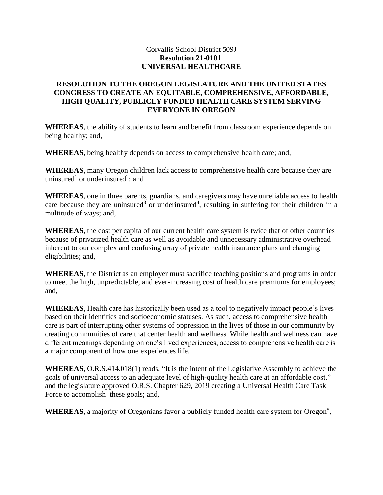## Corvallis School District 509J **Resolution 21-0101 UNIVERSAL HEALTHCARE**

## **RESOLUTION TO THE OREGON LEGISLATURE AND THE UNITED STATES CONGRESS TO CREATE AN EQUITABLE, COMPREHENSIVE, AFFORDABLE, HIGH QUALITY, PUBLICLY FUNDED HEALTH CARE SYSTEM SERVING EVERYONE IN OREGON**

**WHEREAS**, the ability of students to learn and benefit from classroom experience depends on being healthy; and,

**WHEREAS**, being healthy depends on access to comprehensive health care; and,

**WHEREAS**, many Oregon children lack access to comprehensive health care because they are uninsured<sup>1</sup> or underinsured<sup>2</sup>; and

**WHEREAS**, one in three parents, guardians, and caregivers may have unreliable access to health care because they are uninsured<sup>3</sup> or underinsured<sup>4</sup>, resulting in suffering for their children in a multitude of ways; and,

**WHEREAS**, the cost per capita of our current health care system is twice that of other countries because of privatized health care as well as avoidable and unnecessary administrative overhead inherent to our complex and confusing array of private health insurance plans and changing eligibilities; and,

**WHEREAS**, the District as an employer must sacrifice teaching positions and programs in order to meet the high, unpredictable, and ever-increasing cost of health care premiums for employees; and,

**WHEREAS**, Health care has historically been used as a tool to negatively impact people's lives based on their identities and socioeconomic statuses. As such, access to comprehensive health care is part of interrupting other systems of oppression in the lives of those in our community by creating communities of care that center health and wellness. While health and wellness can have different meanings depending on one's lived experiences, access to comprehensive health care is a major component of how one experiences life.

**WHEREAS**, O.R.S.414.018(1) reads, "It is the intent of the Legislative Assembly.to.achieve the goals of universal access to an adequate level of high-quality health care at an affordable cost," and the legislature approved O.R.S. Chapter 629, 2019 creating a Universal Health Care Task Force to accomplish these goals; and,

WHEREAS, a majority of Oregonians favor a publicly funded health care system for Oregon<sup>5</sup>,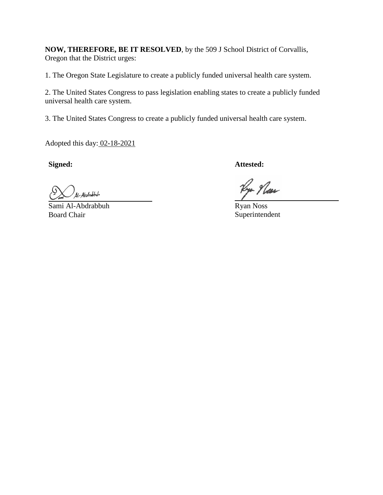**NOW, THEREFORE, BE IT RESOLVED**, by the 509 J School District of Corvallis, Oregon that the District urges:

1. The Oregon State Legislature to create a publicly funded universal health care system.

2. The United States Congress to pass legislation enabling states to create a publicly funded universal health care system.

3. The United States Congress to create a publicly funded universal health care system.

Adopted this day: 02-18-2021

41-Abdrubbuh

Sami Al-Abdrabbuh Board Chair

**Signed: Attested:**

Rya Plan

Ryan Noss Superintendent